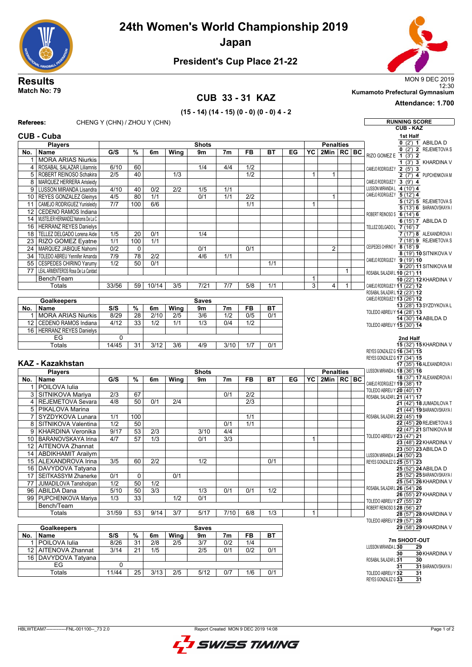**24th Women's World Championship 2019**



**Japan**



# **President's Cup Place 21-22**

#### **CUB 33 - 31 KAZ**

12:30 **Match No: 79 Kumamoto Prefectural Gymnasium**

# **(15 - 14) (14 - 15) (0 - 0) (0 - 0) 4 - 2**

**Attendance: 1.700**

| Referees:               |                                                          | CHENG Y (CHN) / ZHOU Y (CHN) |                                    |                          |                         |                         |                                      |                         |                                                           |    |                                                      |                  |              |  | <b>RUNNING SCORE</b>                                            |
|-------------------------|----------------------------------------------------------|------------------------------|------------------------------------|--------------------------|-------------------------|-------------------------|--------------------------------------|-------------------------|-----------------------------------------------------------|----|------------------------------------------------------|------------------|--------------|--|-----------------------------------------------------------------|
| <b>CUB - KAZ</b>        |                                                          |                              |                                    |                          |                         |                         |                                      |                         |                                                           |    |                                                      |                  |              |  |                                                                 |
|                         | <b>CUB - Cuba</b>                                        |                              |                                    |                          |                         |                         |                                      |                         |                                                           |    |                                                      |                  |              |  | 1st Half                                                        |
|                         | <b>Players</b>                                           |                              |                                    |                          |                         | <b>Shots</b>            |                                      |                         |                                                           |    |                                                      | <b>Penalties</b> |              |  | $0$ (2') 1 ABILDA D<br>2 REJEMETOVA S<br>(2')<br>0              |
| No.                     | Name                                                     | G/S                          | %                                  | 6m                       | Wing                    | 9m                      | 7 <sub>m</sub>                       | <b>FB</b>               | <b>BT</b>                                                 | EG | YC                                                   | 2Min   RC   BC   |              |  | RIZO GOMEZ E 1 (3') 2                                           |
| 1                       | <b>MORA ARIAS Niurkis</b>                                |                              |                                    |                          |                         |                         |                                      |                         |                                                           |    |                                                      |                  |              |  | $1$ (3') $3$ KHARDINA V                                         |
| $\overline{4}$<br>5     | ROSABAL SALAZAR Liliamnis<br>ROBERT REINOSO Schakira     | 6/10<br>$\overline{2/5}$     | 60<br>40                           |                          | 1/3                     | 1/4                     | 4/4                                  | 1/2<br>$\overline{1/2}$ |                                                           |    | 1                                                    | $\mathbf{1}$     |              |  | CAMEJO RODRIGUEZY 2 (5') 3<br>$\overline{2(7)}$ 4 PUPCHENKOVA M |
| 8                       | MARQUEZ HERRERA Arisleidy                                |                              |                                    |                          |                         |                         |                                      |                         |                                                           |    |                                                      |                  |              |  | CAMEJO RODRIGUEZ Y 3 (9')<br>4                                  |
| 9                       | LUSSON MIRANDA Lisandra                                  | 4/10                         | 40                                 | 0/2                      | 2/2                     | 1/5                     | 1/1                                  |                         |                                                           |    |                                                      |                  |              |  | LUSSON MIRANDA L 4 (10') 4                                      |
| 10 <sup>1</sup>         | <b>REYES GONZALEZ Gleinys</b>                            | 4/5                          | 80                                 | 1/1                      |                         | 0/1                     | $\overline{1/1}$                     | $\overline{2/2}$        |                                                           |    |                                                      | 1                |              |  | CAMEJO RODRIGUEZY 5 (12') 4                                     |
| $\overline{11}$         | CAMEJO RODRIGUEZ Yunisleidy                              | 7/7                          | 100                                | 6/6                      |                         |                         |                                      | 1/1                     |                                                           |    | $\mathbf{1}$                                         |                  |              |  | 5 (12') 5 REJEMETOVA S                                          |
| $\overline{12}$         | CEDENO RAMOS Indiana                                     |                              |                                    |                          |                         |                         |                                      |                         |                                                           |    |                                                      |                  |              |  | 5 (13') 6 BARANOVSKAYA I<br>ROBERT REINOSO S 6 (14') 6          |
| 14                      | MUSTELIER HERNANDEZ Nahomis De La C                      |                              |                                    |                          |                         |                         |                                      |                         |                                                           |    |                                                      |                  |              |  | 6 (15') 7 ABILDA D                                              |
| 16                      | <b>HERRANZ REYES Danielys</b>                            |                              |                                    |                          |                         |                         |                                      |                         |                                                           |    |                                                      |                  |              |  | TELLEZ DELGADOL 7 (16') 7                                       |
| 18                      | TELLEZ DELGADO Lorena Aide                               | 1/5<br>1/1                   | $\overline{20}$                    | 0/1                      |                         | 1/4                     |                                      |                         |                                                           |    |                                                      |                  |              |  | 7 (17') 8 ALEXANDROVA I<br>7 (18') 9 REJEMETOVA S               |
| $\overline{23}$<br>24   | RIZO GOMEZ Eyatne<br>MARQUEZ JABIQUE Nahomi              | $\overline{0/2}$             | 100<br>0                           | 1/1                      |                         | 0/1                     |                                      | 0/1                     |                                                           |    |                                                      | 2                |              |  | CESPEDES CHIRINOY 8 (18') 9                                     |
| 34                      | TOLEDO ABREU Yennifer Amanda                             | $\overline{7/9}$             | 78                                 | $\overline{2/2}$         |                         | 4/6                     | 1/1                                  |                         |                                                           |    |                                                      |                  |              |  | 8 (19') 10 SITNIKOVA V                                          |
| 55                      | <b>CESPEDES CHIRINO Yarumy</b>                           | 1/2                          | 50                                 | 0/1                      |                         |                         |                                      |                         | 1/1                                                       |    |                                                      |                  |              |  | CAMEJO RODRIGUEZY 9 (19') 10                                    |
| 77                      | LEAL ARMENTEROS Rosa De La Caridad                       |                              |                                    |                          |                         |                         |                                      |                         |                                                           |    |                                                      |                  | $\mathbf{1}$ |  | 9 (20') 11 SITNIKOVA M<br>ROSABAL SALAZAR L 10 (21') 11         |
|                         | Bench/Team                                               |                              |                                    |                          |                         |                         |                                      |                         |                                                           |    | 1                                                    |                  |              |  | 10 (22') 12 KHARDINA V                                          |
|                         | <b>Totals</b>                                            | 33/56                        | 59                                 | 10/14                    | 3/5                     | 7/21                    | 7/7                                  | 5/8                     | 1/1                                                       |    | 3                                                    | 4                | $\mathbf{1}$ |  | CAMEJO RODRIGUEZ Y 11 (22') 12                                  |
|                         |                                                          |                              |                                    |                          |                         |                         |                                      |                         |                                                           |    |                                                      |                  |              |  | ROSABAL SALAZAR L 12 (23') 12                                   |
|                         | <b>Goalkeepers</b>                                       |                              |                                    |                          |                         | <b>Saves</b>            |                                      |                         |                                                           |    |                                                      |                  |              |  | CAMEJO RODRIGUEZ Y 13 (26') 12<br>13 (28') 13 SYZDYKOVA L       |
| No.                     | Name                                                     | S/S                          | %                                  | 6m                       | Wing                    | 9m                      | 7 <sub>m</sub>                       | <b>FB</b>               | <b>BT</b>                                                 |    |                                                      |                  |              |  | TOLEDO ABREU Y 14 (28') 13                                      |
| 1<br>12                 | <b>MORA ARIAS Niurkis</b><br><b>CEDENO RAMOS Indiana</b> | 8/29<br>4/12                 | $\overline{28}$<br>$\overline{33}$ | 2/10<br>$\overline{1/2}$ | $\overline{2/5}$<br>1/1 | $\overline{3/6}$<br>1/3 | $\overline{1/2}$<br>$\overline{0/4}$ | 0/5<br>$\overline{1/2}$ | 0/1                                                       |    |                                                      |                  |              |  | 14 (30') 14 ABILDA D                                            |
|                         | 16 HERRANZ REYES Danielys                                |                              |                                    |                          |                         |                         |                                      |                         |                                                           |    |                                                      |                  |              |  | TOLEDO ABREU Y 15 (30') 14                                      |
|                         | EG                                                       | 0                            |                                    |                          |                         |                         |                                      |                         |                                                           |    |                                                      |                  |              |  | 2nd Half                                                        |
|                         | <b>Totals</b>                                            | 14/45                        | $\overline{31}$                    | $\frac{3}{12}$           | $\overline{3/6}$        | 4/9                     | 3/10                                 | 1/7                     | 0/1                                                       |    |                                                      |                  |              |  | 15 (32') 15 KHARDINA V                                          |
|                         |                                                          |                              |                                    |                          |                         |                         |                                      |                         |                                                           |    |                                                      |                  |              |  | REYES GONZALEZ G 16 (34') 15                                    |
| <b>KAZ - Kazakhstan</b> |                                                          |                              |                                    |                          |                         |                         |                                      |                         | REYES GONZALEZ G 17 (34') 15<br>17 (35') 16 ALEXANDROVA I |    |                                                      |                  |              |  |                                                                 |
|                         | <b>Players</b>                                           |                              |                                    |                          |                         | <b>Shots</b>            |                                      |                         |                                                           |    |                                                      | <b>Penalties</b> |              |  | LUSSON MIRANDA L 18 (36') 16                                    |
| No.                     | Name                                                     | G/S                          | $\frac{9}{6}$                      | 6m                       | Wing                    | 9m                      | 7 <sub>m</sub>                       | <b>FB</b>               | <b>BT</b>                                                 | EG | YC                                                   | 2Min   RC   BC   |              |  | 18 (37') 17 ALEXANDROVA I                                       |
| 1                       | POILOVA Iulia                                            |                              |                                    |                          |                         |                         |                                      |                         |                                                           |    |                                                      |                  |              |  | CAMEJO RODRIGUEZ Y 19 (38') 17                                  |
| 3                       | SITNIKOVA Mariya                                         | $\overline{2/3}$             | 67                                 |                          |                         |                         | 0/1                                  | $\overline{2/2}$        |                                                           |    |                                                      |                  |              |  | TOLEDO ABREU Y 20 (40') 17<br>ROSABAL SALAZAR L 21 (41') 17     |
| $\overline{4}$          | REJEMETOVA Sevara                                        | 4/8                          | $\overline{50}$                    | 0/1                      | 2/4                     |                         |                                      | $\overline{2/3}$        |                                                           |    |                                                      |                  |              |  | 21 (42') 18 JUMADILOVA T                                        |
| 5                       | PIKALOVA Marina                                          |                              |                                    |                          |                         |                         |                                      |                         |                                                           |    |                                                      |                  |              |  | 21 (44') 19 BARANOVSKAYA I                                      |
| $\overline{7}$          | SYZDYKOVA Lunara                                         | 1/1                          | 100                                |                          |                         |                         |                                      | 1/1                     |                                                           |    |                                                      |                  |              |  | ROSABAL SALAZAR L 22 (45') 19                                   |
| 8                       | SITNIKOVA Valentina                                      | $\overline{1/2}$             | $\overline{50}$                    |                          |                         |                         | 0/1                                  | $\overline{1/1}$        |                                                           |    |                                                      |                  |              |  | 22 (45') 20 REJEMETOVA S<br>22 (47') 21 SITNIKOVA M             |
| 9                       | KHARDINA Veronika                                        | 9/17                         | 53<br>$\overline{57}$              | 2/3                      |                         | 3/10                    | 4/4                                  |                         |                                                           |    |                                                      |                  |              |  | TOLEDO ABREU Y 23 (47') 21                                      |
| 10<br>12                | <b>BARANOVSKAYA Irina</b><br><b>AITENOVA Zhannat</b>     | 4/7                          |                                    | $\overline{1/3}$         |                         | 0/1                     | $\overline{3/3}$                     |                         |                                                           |    | $\mathbf{1}$                                         |                  |              |  | 23 (48') 22 KHARDINA V                                          |
| 14                      | <b>ABDIKHAMIT Arailym</b>                                |                              |                                    |                          |                         |                         |                                      |                         |                                                           |    |                                                      |                  |              |  | 23 (50') 23 ABILDA D                                            |
| 15                      | <b>ALEXANDROVA Irina</b>                                 | $\overline{3/5}$             | 60                                 | $\overline{2/2}$         |                         | 1/2                     |                                      |                         | 0/1                                                       |    |                                                      |                  |              |  | LUSSON MIRANDA L 24 (50') 23<br>REYES GONZALEZ G 25 (51') 23    |
|                         | 16 DAVYDOVA Tatyana                                      |                              |                                    |                          |                         |                         |                                      |                         |                                                           |    |                                                      |                  |              |  | 25 (52') 24 ABILDA D                                            |
|                         | 17   SEITKASSYM Zhanerke                                 | 0/1                          | 0                                  |                          | 0/1                     |                         |                                      |                         |                                                           |    |                                                      |                  |              |  | 25 (52') 25 BARANOVSKAYA I                                      |
| $\overline{77}$         | JUMADILOVA Tansholpan                                    | 1/2                          | 50                                 | 1/2                      |                         |                         |                                      |                         |                                                           |    |                                                      |                  |              |  | 25 (54') 26 KHARDINA V<br>ROSABAL SALAZAR L 26 (54') 26         |
| 96                      | <b>ABILDA Dana</b>                                       | 5/10                         | 50                                 | $\overline{3/3}$         |                         | $\overline{1/3}$        | 0/1                                  | 0/1                     | 1/2                                                       |    |                                                      |                  |              |  | 26 (55') 27 KHARDINA V                                          |
|                         | 99 PUPCHENKOVA Mariya                                    | 1/3                          | 33                                 |                          | $\overline{1/2}$        | 0/1                     |                                      |                         |                                                           |    |                                                      |                  |              |  | TOLEDO ABREU Y 27 (55') 27                                      |
|                         | Bench/Team                                               |                              |                                    |                          |                         |                         |                                      |                         |                                                           |    |                                                      |                  |              |  | ROBERT REINOSO S 28 (56') 27                                    |
|                         | <b>Totals</b>                                            | 31/59                        | 53                                 | 9/14                     | $\overline{3/7}$        | 5/17                    | 7/10                                 | 6/8                     | $\overline{1/3}$                                          |    | $\mathbf{1}$                                         |                  |              |  | 28 (57') 28 KHARDINA V                                          |
|                         | <b>Goalkeepers</b><br><b>Saves</b>                       |                              |                                    |                          |                         |                         |                                      |                         |                                                           |    | TOLEDO ABREU Y 29 (57') 28<br>29 (58') 29 KHARDINA V |                  |              |  |                                                                 |
| No.                     | Name                                                     | S/S                          | $\%$                               | 6m                       | Wing                    | 9m                      | 7 <sub>m</sub>                       | <b>FB</b>               | <b>BT</b>                                                 |    |                                                      |                  |              |  |                                                                 |
| 1                       | POILOVA Iulia                                            | 8/26                         | $\overline{31}$                    | $\overline{2/8}$         | 2/5                     | 3/7                     | 0/2                                  | $\overline{1/4}$        |                                                           |    |                                                      |                  |              |  | 7m SHOOT-OUT                                                    |
| 12                      | AITENOVA Zhannat                                         | 3/14                         | 21                                 | 1/5                      |                         | 2/5                     | 0/1                                  | 0/2                     | 0/1                                                       |    |                                                      |                  |              |  | LUSSON MIRANDA L 30<br>29                                       |
|                         | 16   DAVYDOVA Tatyana                                    |                              |                                    |                          |                         |                         |                                      |                         |                                                           |    |                                                      |                  |              |  | 30 KHARDINA V<br>30<br>ROSABAL SALAZAR L 31<br>30               |
|                         | $E$ G                                                    | 0                            |                                    |                          |                         |                         |                                      |                         |                                                           |    |                                                      |                  |              |  | 31 BARANOVSKAYA I<br>31                                         |
|                         | <b>Totals</b>                                            | 11/44                        | $\overline{25}$                    | 3/13                     | 2/5                     | 5/12                    | 0/7                                  | 1/6                     | 0/1                                                       |    |                                                      |                  |              |  | TOLEDO ABREU Y 32<br>31                                         |
|                         |                                                          |                              |                                    |                          |                         |                         |                                      |                         |                                                           |    |                                                      |                  |              |  | $\overline{31}$<br>REYES GONZALEZ G 33                          |